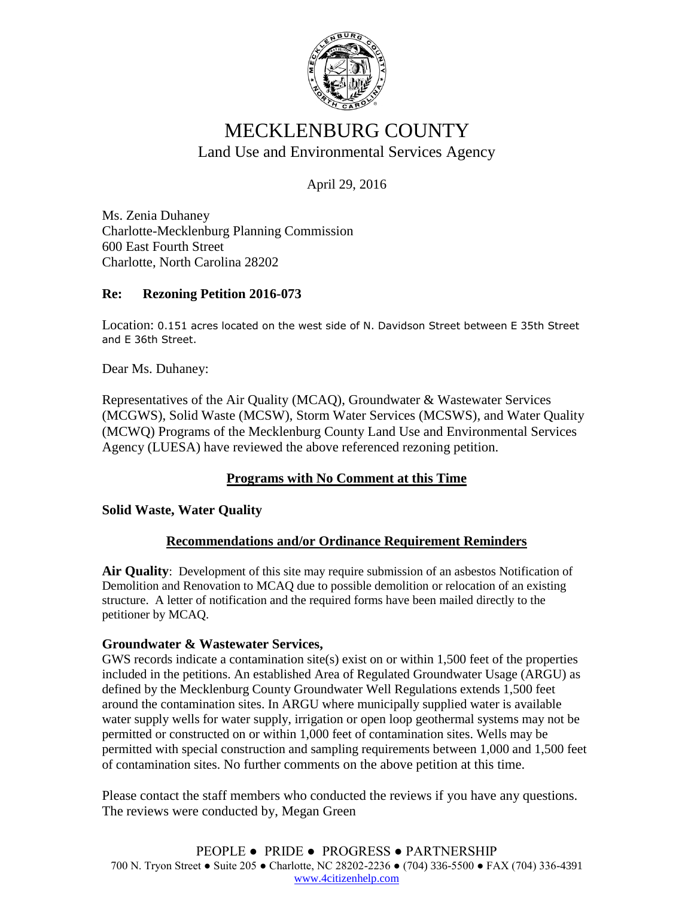

# MECKLENBURG COUNTY Land Use and Environmental Services Agency

April 29, 2016

Ms. Zenia Duhaney Charlotte-Mecklenburg Planning Commission 600 East Fourth Street Charlotte, North Carolina 28202

## **Re: Rezoning Petition 2016-073**

Location: 0.151 acres located on the west side of N. Davidson Street between E 35th Street and E 36th Street.

Dear Ms. Duhaney:

Representatives of the Air Quality (MCAQ), Groundwater & Wastewater Services (MCGWS), Solid Waste (MCSW), Storm Water Services (MCSWS), and Water Quality (MCWQ) Programs of the Mecklenburg County Land Use and Environmental Services Agency (LUESA) have reviewed the above referenced rezoning petition.

# **Programs with No Comment at this Time**

### **Solid Waste, Water Quality**

### **Recommendations and/or Ordinance Requirement Reminders**

**Air Quality**: Development of this site may require submission of an asbestos Notification of Demolition and Renovation to MCAQ due to possible demolition or relocation of an existing structure. A letter of notification and the required forms have been mailed directly to the petitioner by MCAQ.

#### **Groundwater & Wastewater Services,**

GWS records indicate a contamination site(s) exist on or within 1,500 feet of the properties included in the petitions. An established Area of Regulated Groundwater Usage (ARGU) as defined by the Mecklenburg County Groundwater Well Regulations extends 1,500 feet around the contamination sites. In ARGU where municipally supplied water is available water supply wells for water supply, irrigation or open loop geothermal systems may not be permitted or constructed on or within 1,000 feet of contamination sites. Wells may be permitted with special construction and sampling requirements between 1,000 and 1,500 feet of contamination sites. No further comments on the above petition at this time.

Please contact the staff members who conducted the reviews if you have any questions. The reviews were conducted by, Megan Green